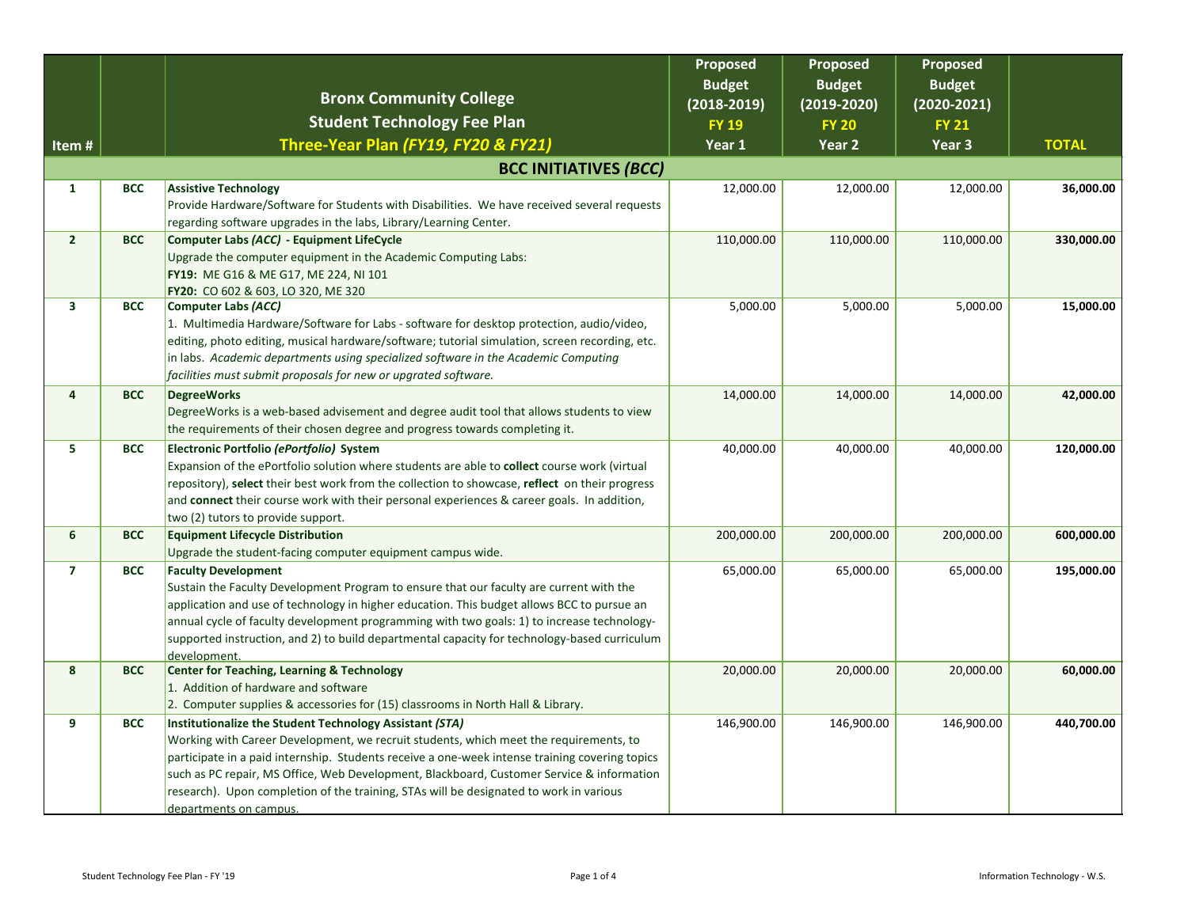|                |            | <b>Bronx Community College</b>                                                                                                                       | Proposed<br><b>Budget</b><br>$(2018 - 2019)$ | Proposed<br><b>Budget</b><br>$(2019-2020)$ | Proposed<br><b>Budget</b><br>$(2020 - 2021)$ |              |
|----------------|------------|------------------------------------------------------------------------------------------------------------------------------------------------------|----------------------------------------------|--------------------------------------------|----------------------------------------------|--------------|
|                |            | <b>Student Technology Fee Plan</b>                                                                                                                   | <b>FY 19</b>                                 | <b>FY 20</b>                               | <b>FY 21</b>                                 |              |
| Item#          |            | Three-Year Plan (FY19, FY20 & FY21)                                                                                                                  | Year 1                                       | Year 2                                     | Year 3                                       | <b>TOTAL</b> |
|                |            | <b>BCC INITIATIVES (BCC)</b>                                                                                                                         |                                              |                                            |                                              |              |
| $\mathbf{1}$   | <b>BCC</b> | <b>Assistive Technology</b>                                                                                                                          | 12,000.00                                    | 12,000.00                                  | 12,000.00                                    | 36,000.00    |
|                |            | Provide Hardware/Software for Students with Disabilities. We have received several requests                                                          |                                              |                                            |                                              |              |
| $\overline{2}$ | <b>BCC</b> | regarding software upgrades in the labs, Library/Learning Center.                                                                                    |                                              |                                            |                                              |              |
|                |            | Computer Labs (ACC) - Equipment LifeCycle<br>Upgrade the computer equipment in the Academic Computing Labs:                                          | 110,000.00                                   | 110,000.00                                 | 110,000.00                                   | 330,000.00   |
|                |            | FY19: ME G16 & ME G17, ME 224, NI 101                                                                                                                |                                              |                                            |                                              |              |
|                |            | FY20: CO 602 & 603, LO 320, ME 320                                                                                                                   |                                              |                                            |                                              |              |
| 3              | <b>BCC</b> | <b>Computer Labs (ACC)</b>                                                                                                                           | 5,000.00                                     | 5,000.00                                   | 5,000.00                                     | 15,000.00    |
|                |            | 1. Multimedia Hardware/Software for Labs - software for desktop protection, audio/video,                                                             |                                              |                                            |                                              |              |
|                |            | editing, photo editing, musical hardware/software; tutorial simulation, screen recording, etc.                                                       |                                              |                                            |                                              |              |
|                |            | in labs. Academic departments using specialized software in the Academic Computing<br>facilities must submit proposals for new or upgrated software. |                                              |                                            |                                              |              |
| 4              | <b>BCC</b> | <b>DegreeWorks</b>                                                                                                                                   | 14,000.00                                    | 14,000.00                                  | 14,000.00                                    | 42,000.00    |
|                |            | DegreeWorks is a web-based advisement and degree audit tool that allows students to view                                                             |                                              |                                            |                                              |              |
|                |            | the requirements of their chosen degree and progress towards completing it.                                                                          |                                              |                                            |                                              |              |
| 5              | <b>BCC</b> | Electronic Portfolio (ePortfolio) System                                                                                                             | 40,000.00                                    | 40,000.00                                  | 40,000.00                                    | 120,000.00   |
|                |            | Expansion of the ePortfolio solution where students are able to collect course work (virtual                                                         |                                              |                                            |                                              |              |
|                |            | repository), select their best work from the collection to showcase, reflect on their progress                                                       |                                              |                                            |                                              |              |
|                |            | and connect their course work with their personal experiences & career goals. In addition,                                                           |                                              |                                            |                                              |              |
| 6              | <b>BCC</b> | two (2) tutors to provide support.<br><b>Equipment Lifecycle Distribution</b>                                                                        | 200,000.00                                   | 200,000.00                                 | 200,000.00                                   | 600,000.00   |
|                |            | Upgrade the student-facing computer equipment campus wide.                                                                                           |                                              |                                            |                                              |              |
| $\overline{7}$ | <b>BCC</b> | <b>Faculty Development</b>                                                                                                                           | 65,000.00                                    | 65,000.00                                  | 65,000.00                                    | 195,000.00   |
|                |            | Sustain the Faculty Development Program to ensure that our faculty are current with the                                                              |                                              |                                            |                                              |              |
|                |            | application and use of technology in higher education. This budget allows BCC to pursue an                                                           |                                              |                                            |                                              |              |
|                |            | annual cycle of faculty development programming with two goals: 1) to increase technology-                                                           |                                              |                                            |                                              |              |
|                |            | supported instruction, and 2) to build departmental capacity for technology-based curriculum                                                         |                                              |                                            |                                              |              |
| 8              | <b>BCC</b> | development.<br><b>Center for Teaching, Learning &amp; Technology</b>                                                                                | 20,000.00                                    | 20,000.00                                  | 20,000.00                                    | 60,000.00    |
|                |            | 1. Addition of hardware and software                                                                                                                 |                                              |                                            |                                              |              |
|                |            | 2. Computer supplies & accessories for (15) classrooms in North Hall & Library.                                                                      |                                              |                                            |                                              |              |
| 9              | <b>BCC</b> | Institutionalize the Student Technology Assistant (STA)                                                                                              | 146,900.00                                   | 146,900.00                                 | 146,900.00                                   | 440,700.00   |
|                |            | Working with Career Development, we recruit students, which meet the requirements, to                                                                |                                              |                                            |                                              |              |
|                |            | participate in a paid internship. Students receive a one-week intense training covering topics                                                       |                                              |                                            |                                              |              |
|                |            | such as PC repair, MS Office, Web Development, Blackboard, Customer Service & information                                                            |                                              |                                            |                                              |              |
|                |            | research). Upon completion of the training, STAs will be designated to work in various                                                               |                                              |                                            |                                              |              |
|                |            | departments on campus.                                                                                                                               |                                              |                                            |                                              |              |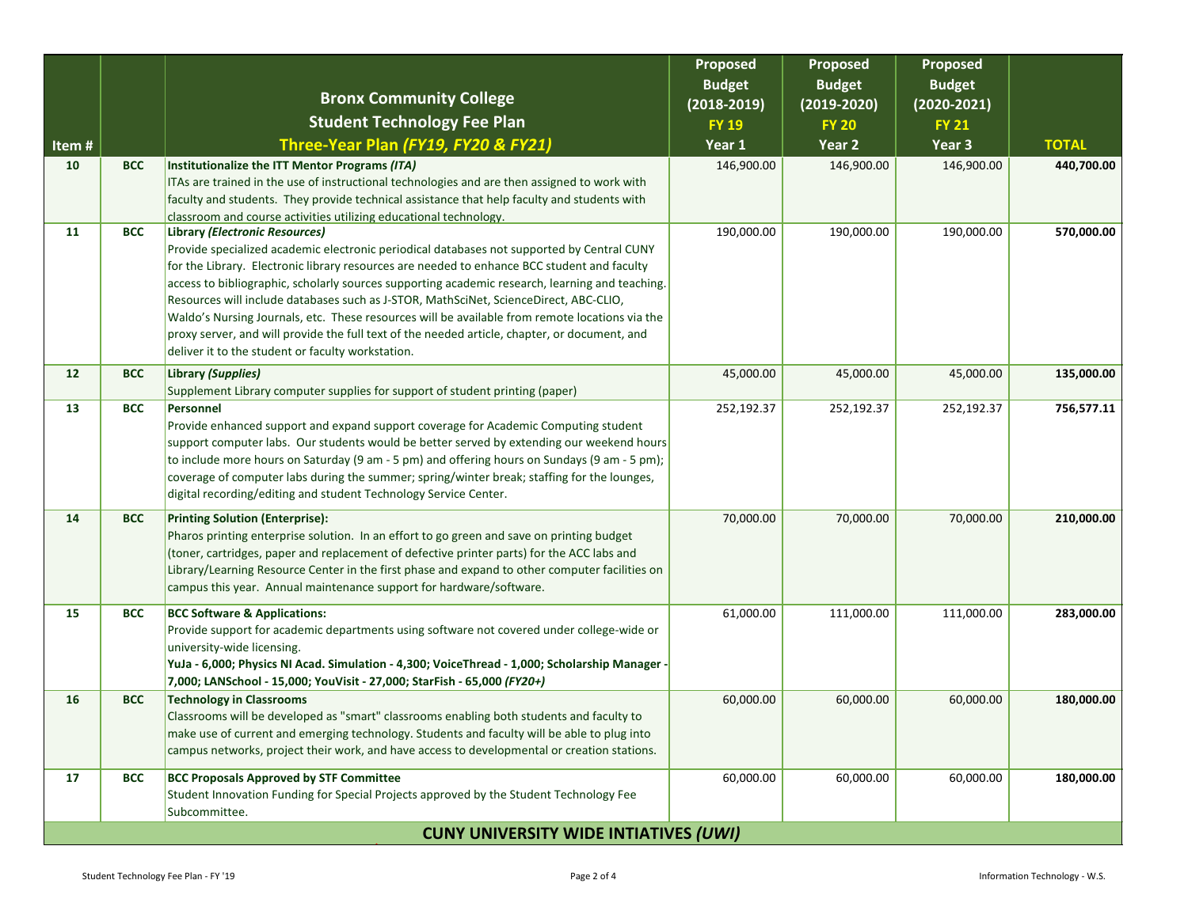|                                              |            |                                                                                                                                                                                                 | <b>Proposed</b><br><b>Budget</b> | Proposed<br><b>Budget</b> | <b>Proposed</b><br><b>Budget</b> |              |
|----------------------------------------------|------------|-------------------------------------------------------------------------------------------------------------------------------------------------------------------------------------------------|----------------------------------|---------------------------|----------------------------------|--------------|
|                                              |            | <b>Bronx Community College</b>                                                                                                                                                                  | $(2018 - 2019)$                  | $(2019-2020)$             | $(2020 - 2021)$                  |              |
|                                              |            | <b>Student Technology Fee Plan</b>                                                                                                                                                              | <b>FY 19</b>                     | <b>FY 20</b>              | <b>FY 21</b>                     |              |
| Item#                                        |            | Three-Year Plan (FY19, FY20 & FY21)                                                                                                                                                             | Year 1                           | Year 2                    | Year 3                           | <b>TOTAL</b> |
| 10                                           | <b>BCC</b> | Institutionalize the ITT Mentor Programs (ITA)                                                                                                                                                  | 146,900.00                       | 146,900.00                | 146,900.00                       | 440,700.00   |
|                                              |            | ITAs are trained in the use of instructional technologies and are then assigned to work with                                                                                                    |                                  |                           |                                  |              |
|                                              |            | faculty and students. They provide technical assistance that help faculty and students with                                                                                                     |                                  |                           |                                  |              |
| 11                                           | <b>BCC</b> | classroom and course activities utilizing educational technology.<br>Library (Electronic Resources)                                                                                             | 190,000.00                       | 190,000.00                | 190,000.00                       | 570,000.00   |
|                                              |            | Provide specialized academic electronic periodical databases not supported by Central CUNY                                                                                                      |                                  |                           |                                  |              |
|                                              |            | for the Library. Electronic library resources are needed to enhance BCC student and faculty                                                                                                     |                                  |                           |                                  |              |
|                                              |            | access to bibliographic, scholarly sources supporting academic research, learning and teaching.                                                                                                 |                                  |                           |                                  |              |
|                                              |            | Resources will include databases such as J-STOR, MathSciNet, ScienceDirect, ABC-CLIO,                                                                                                           |                                  |                           |                                  |              |
|                                              |            | Waldo's Nursing Journals, etc. These resources will be available from remote locations via the<br>proxy server, and will provide the full text of the needed article, chapter, or document, and |                                  |                           |                                  |              |
|                                              |            | deliver it to the student or faculty workstation.                                                                                                                                               |                                  |                           |                                  |              |
| 12                                           | <b>BCC</b> | Library (Supplies)                                                                                                                                                                              | 45,000.00                        | 45,000.00                 | 45,000.00                        | 135,000.00   |
|                                              |            | Supplement Library computer supplies for support of student printing (paper)                                                                                                                    |                                  |                           |                                  |              |
| 13                                           | <b>BCC</b> | Personnel                                                                                                                                                                                       | 252,192.37                       | 252,192.37                | 252,192.37                       | 756,577.11   |
|                                              |            | Provide enhanced support and expand support coverage for Academic Computing student<br>support computer labs. Our students would be better served by extending our weekend hours                |                                  |                           |                                  |              |
|                                              |            | to include more hours on Saturday (9 am - 5 pm) and offering hours on Sundays (9 am - 5 pm);                                                                                                    |                                  |                           |                                  |              |
|                                              |            | coverage of computer labs during the summer; spring/winter break; staffing for the lounges,                                                                                                     |                                  |                           |                                  |              |
|                                              |            | digital recording/editing and student Technology Service Center.                                                                                                                                |                                  |                           |                                  |              |
| 14                                           | <b>BCC</b> | <b>Printing Solution (Enterprise):</b>                                                                                                                                                          | 70,000.00                        | 70,000.00                 | 70,000.00                        | 210,000.00   |
|                                              |            | Pharos printing enterprise solution. In an effort to go green and save on printing budget                                                                                                       |                                  |                           |                                  |              |
|                                              |            | (toner, cartridges, paper and replacement of defective printer parts) for the ACC labs and                                                                                                      |                                  |                           |                                  |              |
|                                              |            | Library/Learning Resource Center in the first phase and expand to other computer facilities on<br>campus this year. Annual maintenance support for hardware/software.                           |                                  |                           |                                  |              |
|                                              |            |                                                                                                                                                                                                 |                                  |                           |                                  |              |
| 15                                           | <b>BCC</b> | <b>BCC Software &amp; Applications:</b>                                                                                                                                                         | 61,000.00                        | 111,000.00                | 111,000.00                       | 283,000.00   |
|                                              |            | Provide support for academic departments using software not covered under college-wide or<br>university-wide licensing.                                                                         |                                  |                           |                                  |              |
|                                              |            | YuJa - 6,000; Physics NI Acad. Simulation - 4,300; VoiceThread - 1,000; Scholarship Manager -                                                                                                   |                                  |                           |                                  |              |
|                                              |            | 7,000; LANSchool - 15,000; YouVisit - 27,000; StarFish - 65,000 (FY20+)                                                                                                                         |                                  |                           |                                  |              |
| 16                                           | <b>BCC</b> | <b>Technology in Classrooms</b>                                                                                                                                                                 | 60,000.00                        | 60,000.00                 | 60,000.00                        | 180,000.00   |
|                                              |            | Classrooms will be developed as "smart" classrooms enabling both students and faculty to                                                                                                        |                                  |                           |                                  |              |
|                                              |            | make use of current and emerging technology. Students and faculty will be able to plug into<br>campus networks, project their work, and have access to developmental or creation stations.      |                                  |                           |                                  |              |
|                                              |            |                                                                                                                                                                                                 |                                  |                           |                                  |              |
| 17                                           | <b>BCC</b> | <b>BCC Proposals Approved by STF Committee</b>                                                                                                                                                  | 60,000.00                        | 60,000.00                 | 60,000.00                        | 180,000.00   |
|                                              |            | Student Innovation Funding for Special Projects approved by the Student Technology Fee<br>Subcommittee.                                                                                         |                                  |                           |                                  |              |
| <b>CUNY UNIVERSITY WIDE INTIATIVES (UWI)</b> |            |                                                                                                                                                                                                 |                                  |                           |                                  |              |
|                                              |            |                                                                                                                                                                                                 |                                  |                           |                                  |              |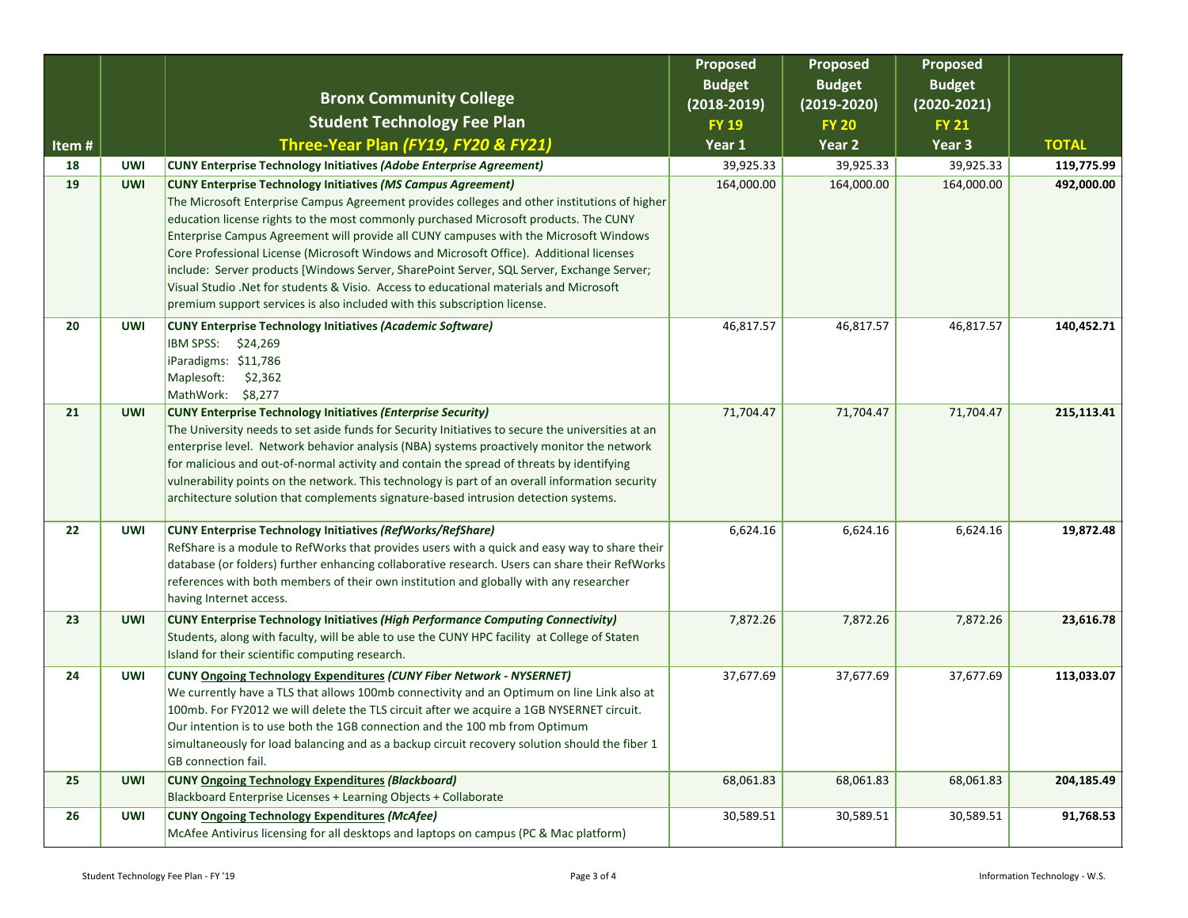|       |            |                                                                                                                                                                                                                                                                                                                                                                                                                                                                                                                                                                                                                                                                                                                      | Proposed<br><b>Budget</b> | Proposed<br><b>Budget</b> | <b>Proposed</b><br><b>Budget</b> |              |
|-------|------------|----------------------------------------------------------------------------------------------------------------------------------------------------------------------------------------------------------------------------------------------------------------------------------------------------------------------------------------------------------------------------------------------------------------------------------------------------------------------------------------------------------------------------------------------------------------------------------------------------------------------------------------------------------------------------------------------------------------------|---------------------------|---------------------------|----------------------------------|--------------|
|       |            | <b>Bronx Community College</b>                                                                                                                                                                                                                                                                                                                                                                                                                                                                                                                                                                                                                                                                                       | $(2018 - 2019)$           | $(2019 - 2020)$           | $(2020 - 2021)$                  |              |
|       |            | <b>Student Technology Fee Plan</b>                                                                                                                                                                                                                                                                                                                                                                                                                                                                                                                                                                                                                                                                                   | <b>FY 19</b>              | <b>FY 20</b>              | <b>FY 21</b>                     |              |
| Item# |            | Three-Year Plan (FY19, FY20 & FY21)                                                                                                                                                                                                                                                                                                                                                                                                                                                                                                                                                                                                                                                                                  | Year 1                    | Year 2                    | Year 3                           | <b>TOTAL</b> |
| 18    | <b>UWI</b> | <b>CUNY Enterprise Technology Initiatives (Adobe Enterprise Agreement)</b>                                                                                                                                                                                                                                                                                                                                                                                                                                                                                                                                                                                                                                           | 39,925.33                 | 39,925.33                 | 39,925.33                        | 119,775.99   |
| 19    | <b>UWI</b> | <b>CUNY Enterprise Technology Initiatives (MS Campus Agreement)</b><br>The Microsoft Enterprise Campus Agreement provides colleges and other institutions of higher<br>education license rights to the most commonly purchased Microsoft products. The CUNY<br>Enterprise Campus Agreement will provide all CUNY campuses with the Microsoft Windows<br>Core Professional License (Microsoft Windows and Microsoft Office). Additional licenses<br>include: Server products [Windows Server, SharePoint Server, SQL Server, Exchange Server;<br>Visual Studio . Net for students & Visio. Access to educational materials and Microsoft<br>premium support services is also included with this subscription license. | 164,000.00                | 164,000.00                | 164,000.00                       | 492,000.00   |
| 20    | <b>UWI</b> | <b>CUNY Enterprise Technology Initiatives (Academic Software)</b><br>IBM SPSS: \$24,269<br>iParadigms: \$11,786<br>Maplesoft:<br>\$2,362<br>MathWork: \$8,277                                                                                                                                                                                                                                                                                                                                                                                                                                                                                                                                                        | 46,817.57                 | 46,817.57                 | 46,817.57                        | 140,452.71   |
| 21    | <b>UWI</b> | <b>CUNY Enterprise Technology Initiatives (Enterprise Security)</b><br>The University needs to set aside funds for Security Initiatives to secure the universities at an<br>enterprise level. Network behavior analysis (NBA) systems proactively monitor the network<br>for malicious and out-of-normal activity and contain the spread of threats by identifying<br>vulnerability points on the network. This technology is part of an overall information security<br>architecture solution that complements signature-based intrusion detection systems.                                                                                                                                                         | 71,704.47                 | 71,704.47                 | 71,704.47                        | 215,113.41   |
| 22    | <b>UWI</b> | <b>CUNY Enterprise Technology Initiatives (RefWorks/RefShare)</b><br>RefShare is a module to RefWorks that provides users with a quick and easy way to share their<br>database (or folders) further enhancing collaborative research. Users can share their RefWorks<br>references with both members of their own institution and globally with any researcher<br>having Internet access.                                                                                                                                                                                                                                                                                                                            | 6,624.16                  | 6,624.16                  | 6,624.16                         | 19,872.48    |
| 23    | <b>UWI</b> | <b>CUNY Enterprise Technology Initiatives (High Performance Computing Connectivity)</b><br>Students, along with faculty, will be able to use the CUNY HPC facility at College of Staten<br>Island for their scientific computing research.                                                                                                                                                                                                                                                                                                                                                                                                                                                                           | 7,872.26                  | 7,872.26                  | 7,872.26                         | 23,616.78    |
| 24    | <b>UWI</b> | <b>CUNY Ongoing Technology Expenditures (CUNY Fiber Network - NYSERNET)</b><br>We currently have a TLS that allows 100mb connectivity and an Optimum on line Link also at<br>100mb. For FY2012 we will delete the TLS circuit after we acquire a 1GB NYSERNET circuit.<br>Our intention is to use both the 1GB connection and the 100 mb from Optimum<br>simultaneously for load balancing and as a backup circuit recovery solution should the fiber 1<br>GB connection fail.                                                                                                                                                                                                                                       | 37,677.69                 | 37,677.69                 | 37,677.69                        | 113,033.07   |
| 25    | <b>UWI</b> | <b>CUNY Ongoing Technology Expenditures (Blackboard)</b><br>Blackboard Enterprise Licenses + Learning Objects + Collaborate                                                                                                                                                                                                                                                                                                                                                                                                                                                                                                                                                                                          | 68,061.83                 | 68,061.83                 | 68,061.83                        | 204,185.49   |
| 26    | <b>UWI</b> | <b>CUNY Ongoing Technology Expenditures (McAfee)</b><br>McAfee Antivirus licensing for all desktops and laptops on campus (PC & Mac platform)                                                                                                                                                                                                                                                                                                                                                                                                                                                                                                                                                                        | 30,589.51                 | 30,589.51                 | 30,589.51                        | 91,768.53    |